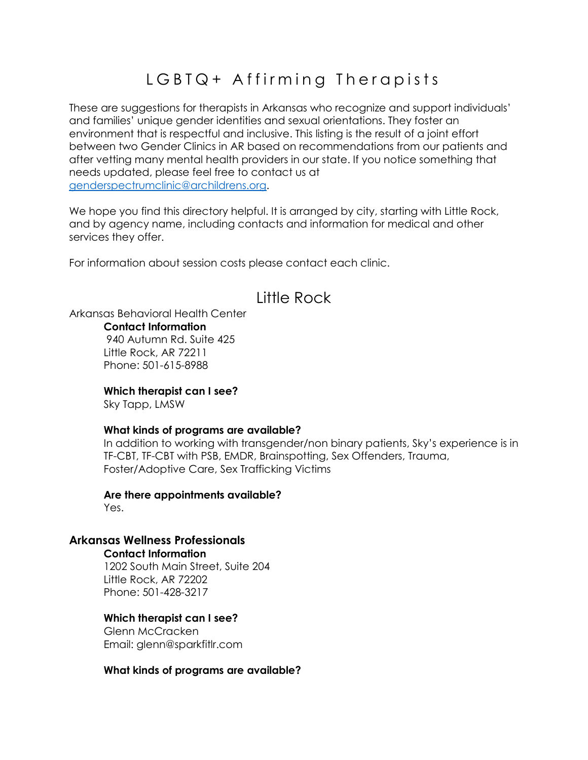# LGBTQ+ Affirming Therapists

These are suggestions for therapists in Arkansas who recognize and support individuals' and families' unique gender identities and sexual orientations. They foster an environment that is respectful and inclusive. This listing is the result of a joint effort between two Gender Clinics in AR based on recommendations from our patients and after vetting many mental health providers in our state. If you notice something that needs updated, please feel free to contact us at [genderspectrumclinic@archildrens.org.](mailto:genderspectrumclinic@archildrens.org)

We hope you find this directory helpful. It is arranged by city, starting with Little Rock, and by agency name, including contacts and information for medical and other services they offer.

For information about session costs please contact each clinic.

# Little Rock

Arkansas Behavioral Health Center

**Contact Information**

940 Autumn Rd. Suite 425 Little Rock, AR 72211 Phone: 501-615-8988

**Which therapist can I see?**

Sky Tapp, LMSW

#### **What kinds of programs are available?**

In addition to working with transgender/non binary patients, Sky's experience is in TF-CBT, TF-CBT with PSB, EMDR, Brainspotting, Sex Offenders, Trauma, Foster/Adoptive Care, Sex Trafficking Victims

**Are there appointments available?** Yes.

## **Arkansas Wellness Professionals**

## **Contact Information**

1202 South Main Street, Suite 204 Little Rock, AR 72202 Phone: 501-428-3217

## **Which therapist can I see?**

Glenn McCracken Email: glenn@sparkfitlr.com

#### **What kinds of programs are available?**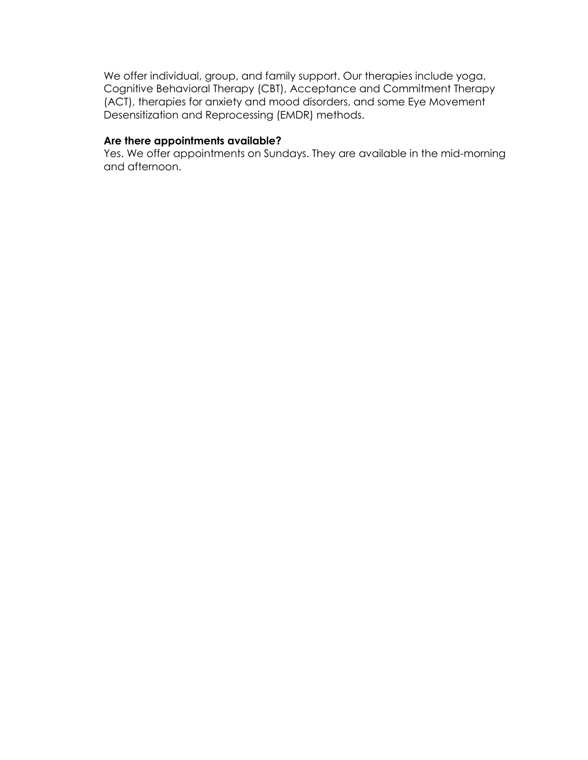We offer individual, group, and family support. Our therapies include yoga, Cognitive Behavioral Therapy (CBT), Acceptance and Commitment Therapy (ACT), therapies for anxiety and mood disorders, and some Eye Movement Desensitization and Reprocessing (EMDR) methods.

### **Are there appointments available?**

Yes. We offer appointments on Sundays. They are available in the mid-morning and afternoon.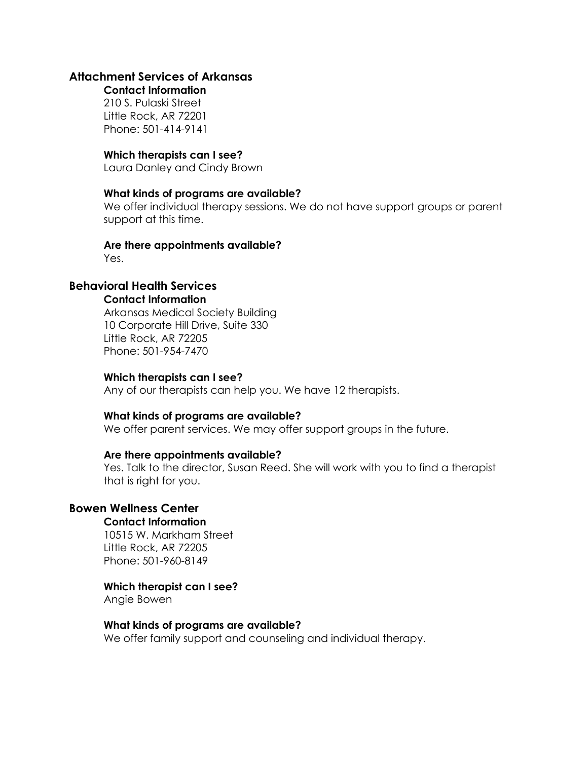## **Attachment Services of Arkansas**

**Contact Information** 210 S. Pulaski Street Little Rock, AR 72201 Phone: 501-414-9141

#### **Which therapists can I see?**

Laura Danley and Cindy Brown

#### **What kinds of programs are available?**

We offer individual therapy sessions. We do not have support groups or parent support at this time.

#### **Are there appointments available?**

Yes.

## **Behavioral Health Services**

#### **Contact Information**

Arkansas Medical Society Building 10 Corporate Hill Drive, Suite 330 Little Rock, AR 72205 Phone: 501-954-7470

#### **Which therapists can I see?**

Any of our therapists can help you. We have 12 therapists.

#### **What kinds of programs are available?**

We offer parent services. We may offer support groups in the future.

#### **Are there appointments available?**

Yes. Talk to the director, Susan Reed. She will work with you to find a therapist that is right for you.

## **Bowen Wellness Center**

#### **Contact Information**

10515 W. Markham Street Little Rock, AR 72205 Phone: 501-960-8149

#### **Which therapist can I see?**

Angie Bowen

#### **What kinds of programs are available?**

We offer family support and counseling and individual therapy.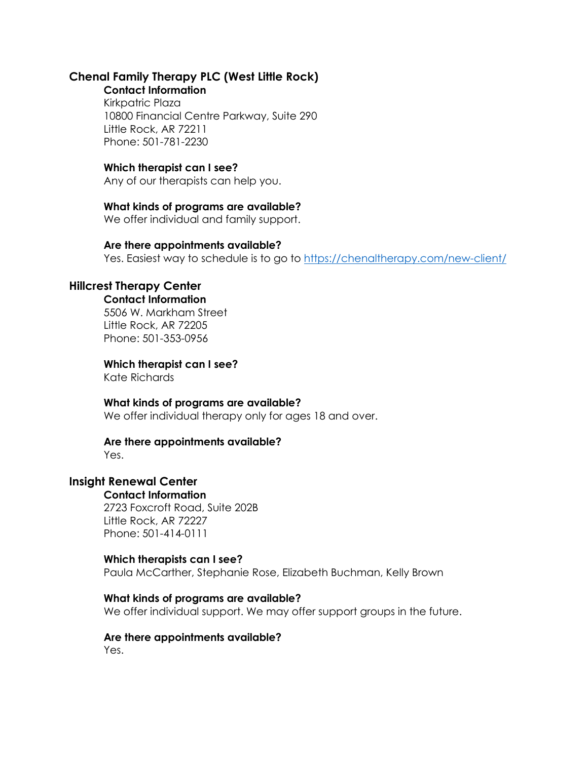## **Chenal Family Therapy PLC (West Little Rock)**

**Contact Information** Kirkpatric Plaza 10800 Financial Centre Parkway, Suite 290 Little Rock, AR 72211 Phone: 501-781-2230

## **Which therapist can I see?**

Any of our therapists can help you.

## **What kinds of programs are available?**

We offer individual and family support.

#### **Are there appointments available?**

Yes. Easiest way to schedule is to go to<https://chenaltherapy.com/new-client/>

## **Hillcrest Therapy Center**

#### **Contact Information**

5506 W. Markham Street Little Rock, AR 72205 Phone: 501-353-0956

## **Which therapist can I see?**

Kate Richards

## **What kinds of programs are available?**

We offer individual therapy only for ages 18 and over.

## **Are there appointments available?**

Yes.

## **Insight Renewal Center**

#### **Contact Information**

2723 Foxcroft Road, Suite 202B Little Rock, AR 72227 Phone: 501-414-0111

## **Which therapists can I see?**

Paula McCarther, Stephanie Rose, Elizabeth Buchman, Kelly Brown

#### **What kinds of programs are available?**

We offer individual support. We may offer support groups in the future.

## **Are there appointments available?**

Yes.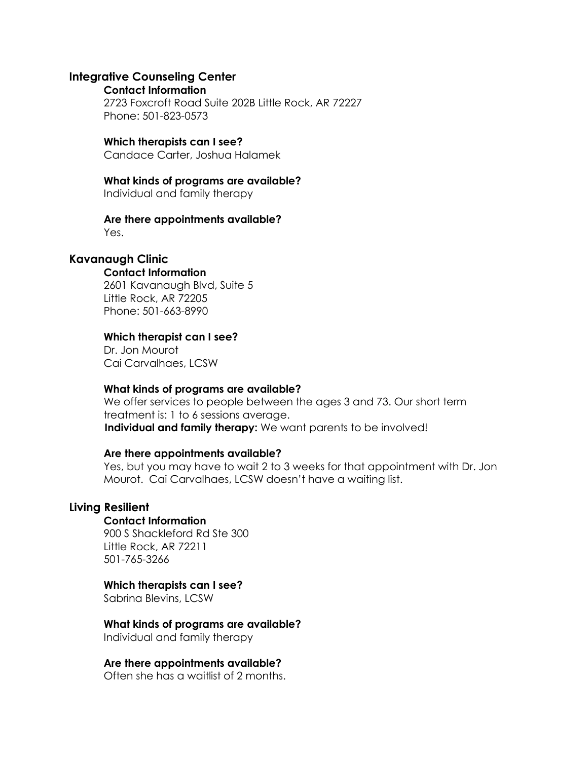#### **Integrative Counseling Center**

#### **Contact Information**

2723 Foxcroft Road Suite 202B Little Rock, AR 72227 Phone: 501-823-0573

## **Which therapists can I see?**

Candace Carter, Joshua Halamek

#### **What kinds of programs are available?**

Individual and family therapy

## **Are there appointments available?**

Yes.

## **Kavanaugh Clinic**

#### **Contact Information**

2601 Kavanaugh Blvd, Suite 5 Little Rock, AR 72205 Phone: 501-663-8990

#### **Which therapist can I see?**

Dr. Jon Mourot Cai Carvalhaes, LCSW

#### **What kinds of programs are available?**

We offer services to people between the ages 3 and 73. Our short term treatment is: 1 to 6 sessions average.  **Individual and family therapy:** We want parents to be involved!

#### **Are there appointments available?**

Yes, but you may have to wait 2 to 3 weeks for that appointment with Dr. Jon Mourot. Cai Carvalhaes, LCSW doesn't have a waiting list.

## **Living Resilient**

#### **Contact Information**

900 S Shackleford Rd Ste 300 Little Rock, AR 72211 501-765-3266

## **Which therapists can I see?**

Sabrina Blevins, LCSW

## **What kinds of programs are available?**

Individual and family therapy

## **Are there appointments available?**

Often she has a waitlist of 2 months.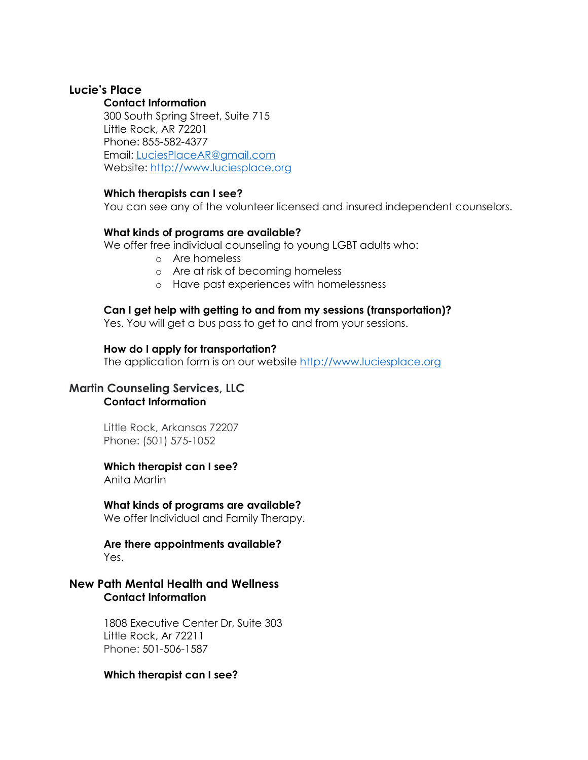## **Lucie's Place**

#### **Contact Information**

300 South Spring Street, Suite 715 Little Rock, AR 72201 Phone: 855-582-4377 Email: [LuciesPlaceAR@gmail.com](mailto:LuciesPlaceAR@gmail.com) Website: [http://www.luciesplace.org](http://www.luciesplace.org/)

#### **Which therapists can I see?**

You can see any of the volunteer licensed and insured independent counselors.

#### **What kinds of programs are available?**

We offer free individual counseling to young LGBT adults who:

- o Are homeless
- o Are at risk of becoming homeless
- o Have past experiences with homelessness

### **Can I get help with getting to and from my sessions (transportation)?**

Yes. You will get a bus pass to get to and from your sessions.

#### **How do I apply for transportation?**

The application form is on our website [http://www.luciesplace.org](http://www.luciesplace.org/)

## **Martin Counseling Services, LLC Contact Information**

Little Rock, Arkansas 72207 Phone: [\(501\) 575-1052](tel:+1-501-575-1052)

#### **Which therapist can I see?**

Anita Martin

#### **What kinds of programs are available?**

We offer Individual and Family Therapy.

#### **Are there appointments available?** Yes.

## **New Path Mental Health and Wellness Contact Information**

1808 Executive Center Dr, Suite 303 Little Rock, Ar 72211 Phone: 501-506-1587

#### **Which therapist can I see?**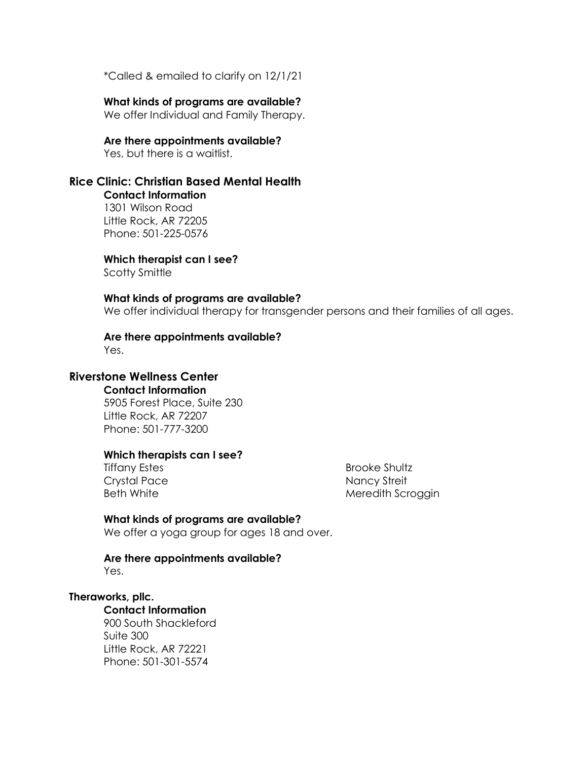\*Called & emailed to clarify on 12/1/21

### **What kinds of programs are available?**

We offer Individual and Family Therapy.

#### **Are there appointments available?**

Yes, but there is a waitlist.

## **Rice Clinic: Christian Based Mental Health**

**Contact Information** 1301 Wilson Road Little Rock, AR 72205 Phone: 501-225-0576

**Which therapist can I see?**

Scotty Smittle

#### **What kinds of programs are available?**

We offer individual therapy for transgender persons and their families of all ages.

# **Are there appointments available?**

Yes.

## **Riverstone Wellness Center**

**Contact Information** 5905 Forest Place, Suite 230 Little Rock, AR 72207 Phone: 501-777-3200

#### **Which therapists can I see?**

Tiffany Estes Crystal Pace Beth White

Brooke Shultz Nancy Streit Meredith Scroggin

### **What kinds of programs are available?**

We offer a yoga group for ages 18 and over.

#### **Are there appointments available?** Yes.

#### **Theraworks, pllc.**

## **Contact Information**

900 South Shackleford Suite 300 Little Rock, AR 72221 Phone: 501-301-5574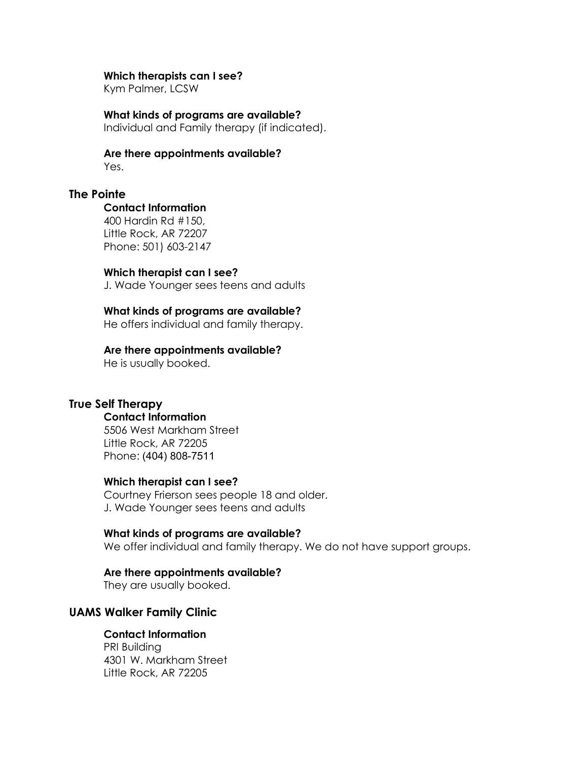#### **Which therapists can I see?**

Kym Palmer, LCSW

**What kinds of programs are available?** Individual and Family therapy (if indicated).

**Are there appointments available?** Yes.

**The Pointe**

#### **Contact Information**

400 Hardin Rd #150, Little Rock, AR 72207 Phone: 501) 603-2147

#### **Which therapist can I see?**

J. Wade Younger sees teens and adults

#### **What kinds of programs are available?**

He offers individual and family therapy.

#### **Are there appointments available?**

He is usually booked.

## **True Self Therapy**

### **Contact Information**

5506 West Markham Street Little Rock, AR 72205 Phone: (404) 808-7511

#### **Which therapist can I see?**

Courtney Frierson sees people 18 and older. J. Wade Younger sees teens and adults

#### **What kinds of programs are available?**

We offer individual and family therapy. We do not have support groups.

#### **Are there appointments available?**

They are usually booked.

## **UAMS Walker Family Clinic**

## **Contact Information**

PRI Building 4301 W. Markham Street Little Rock, AR 72205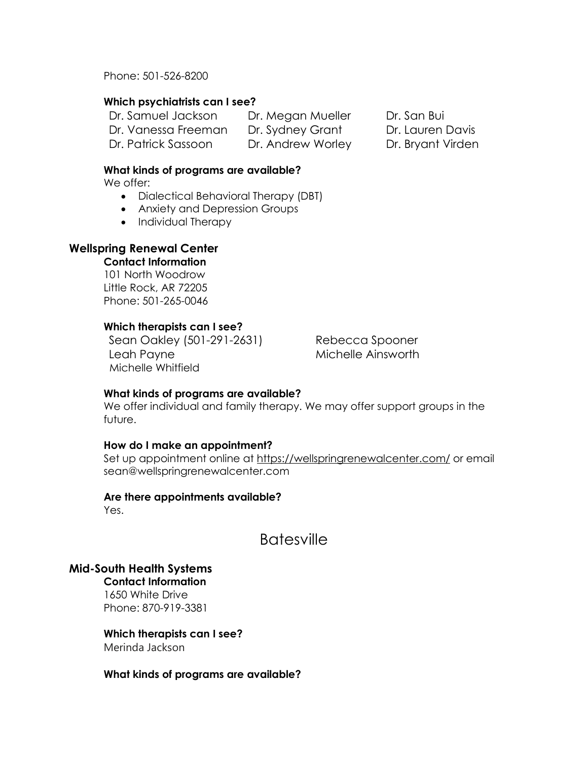Phone: 501-526-8200

## **Which psychiatrists can I see?**

Dr. Samuel Jackson Dr. Megan Mueller Dr. San Bui Dr. Vanessa Freeman Dr. Sydney Grant Dr. Lauren Davis Dr. Patrick Sassoon Dr. Andrew Worley Dr. Bryant Virden

## **What kinds of programs are available?**

We offer:

- Dialectical Behavioral Therapy (DBT)
- Anxiety and Depression Groups
- Individual Therapy

## **Wellspring Renewal Center**

**Contact Information**

101 North Woodrow Little Rock, AR 72205 Phone: 501-265-0046

## **Which therapists can I see?**

Sean Oakley (501-291-2631) Rebecca Spooner Leah Payne **Michelle Ainsworth** Michelle Whitfield

## **What kinds of programs are available?**

We offer individual and family therapy. We may offer support groups in the future.

## **How do I make an appointment?**

Set up appointment online at<https://wellspringrenewalcenter.com/> or email sean@wellspringrenewalcenter.com

## **Are there appointments available?**

Yes.

**Batesville** 

## **Mid-South Health Systems**

**Contact Information**  1650 White Drive Phone: 870-919-3381

## **Which therapists can I see?**

Merinda Jackson

#### **What kinds of programs are available?**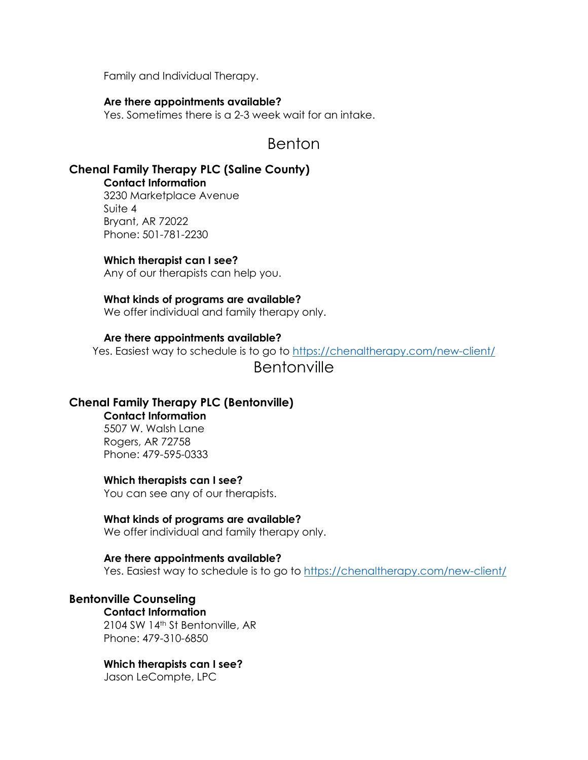Family and Individual Therapy.

#### **Are there appointments available?**

Yes. Sometimes there is a 2-3 week wait for an intake.

## Benton

## **Chenal Family Therapy PLC (Saline County)**

**Contact Information** 3230 Marketplace Avenue Suite 4 Bryant, AR 72022 Phone: 501-781-2230

#### **Which therapist can I see?**

Any of our therapists can help you.

#### **What kinds of programs are available?**

We offer individual and family therapy only.

#### **Are there appointments available?**

Yes. Easiest way to schedule is to go to<https://chenaltherapy.com/new-client/>

## Bentonville

## **Chenal Family Therapy PLC (Bentonville)**

**Contact Information** 5507 W. Walsh Lane Rogers, AR 72758 Phone: 479-595-0333

#### **Which therapists can I see?**

You can see any of our therapists.

#### **What kinds of programs are available?**

We offer individual and family therapy only.

#### **Are there appointments available?**

Yes. Easiest way to schedule is to go to<https://chenaltherapy.com/new-client/>

## **Bentonville Counseling**

**Contact Information** 2104 SW 14th St Bentonville, AR Phone: 479-310-6850

#### **Which therapists can I see?**

Jason LeCompte, LPC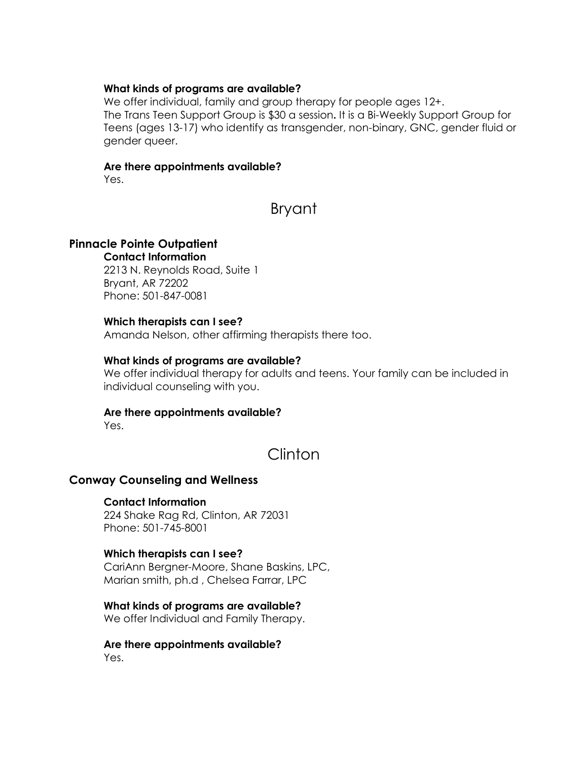#### **What kinds of programs are available?**

We offer individual, family and group therapy for people ages  $12+$ . The Trans Teen Support Group is \$30 a session**.** It is a Bi-Weekly Support Group for Teens (ages 13-17) who identify as transgender, non-binary, GNC, gender fluid or gender queer.

#### **Are there appointments available?**

Yes.

# Bryant

## **Pinnacle Pointe Outpatient**

**Contact Information** 2213 N. Reynolds Road, Suite 1 Bryant, AR 72202 Phone: 501-847-0081

#### **Which therapists can I see?**

Amanda Nelson, other affirming therapists there too.

#### **What kinds of programs are available?**

We offer individual therapy for adults and teens. Your family can be included in individual counseling with you.

## **Are there appointments available?**

Yes.

# Clinton

## **Conway Counseling and Wellness**

## **Contact Information**

[224 Shake Rag Rd, Clinton, AR 72031](https://www.bing.com/local?lid=YN873x4591083042333002070&id=YN873x4591083042333002070&q=Conway+Counseling&name=Conway+Counseling&cp=35.57516098022461%7e-92.45397186279297&ppois=35.57516098022461_-92.45397186279297_Conway+Counseling&FORM=SNAPST) Phone: 501-745-8001

## **Which therapists can I see?**

CariAnn Bergner-Moore, Shane Baskins, LPC, Marian smith, ph.d , Chelsea Farrar, LPC

#### **What kinds of programs are available?**

We offer Individual and Family Therapy.

# **Are there appointments available?**

Yes.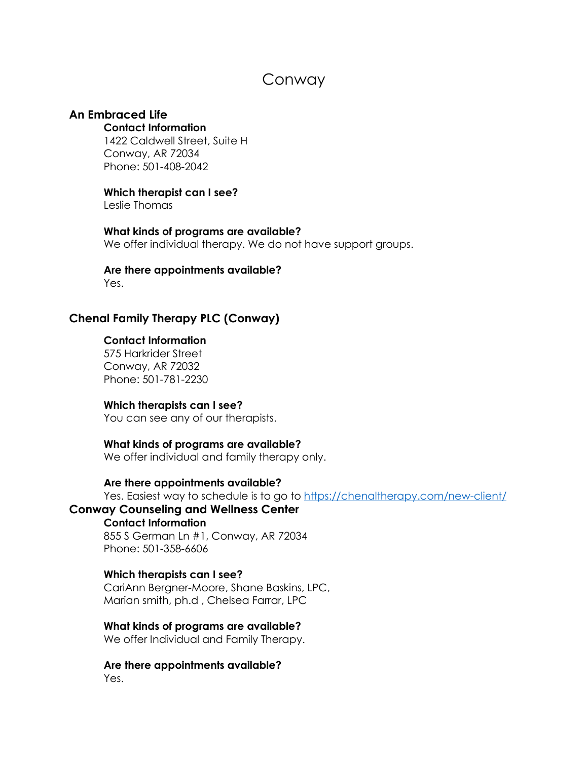# Conway

## **An Embraced Life**

#### **Contact Information**

1422 Caldwell Street, Suite H Conway, AR 72034 Phone: 501-408-2042

### **Which therapist can I see?**

Leslie Thomas

**What kinds of programs are available?** We offer individual therapy. We do not have support groups.

#### **Are there appointments available?** Yes.

# **Chenal Family Therapy PLC (Conway)**

#### **Contact Information**

575 Harkrider Street Conway, AR 72032 Phone: 501-781-2230

#### **Which therapists can I see?**

You can see any of our therapists.

#### **What kinds of programs are available?**

We offer individual and family therapy only.

## **Are there appointments available?**

Yes. Easiest way to schedule is to go to<https://chenaltherapy.com/new-client/>

## **Conway Counseling and Wellness Center**

## **Contact Information**

[855 S German Ln #1, Conway, AR 72034](https://www.bing.com/local?lid=YN873x12118217320019498973&id=YN873x12118217320019498973&q=Conway+Counseling+%26+Wellness&name=Conway+Counseling+%26+Wellness&cp=35.06892013549805%7e-92.44227600097656&ppois=35.06892013549805_-92.44227600097656_Conway+Counseling+%26+Wellness&FORM=SNAPST) Phone: 501-358-6606

## **Which therapists can I see?**

CariAnn Bergner-Moore, Shane Baskins, LPC, Marian smith, ph.d , Chelsea Farrar, LPC

#### **What kinds of programs are available?**

We offer Individual and Family Therapy.

**Are there appointments available?** Yes.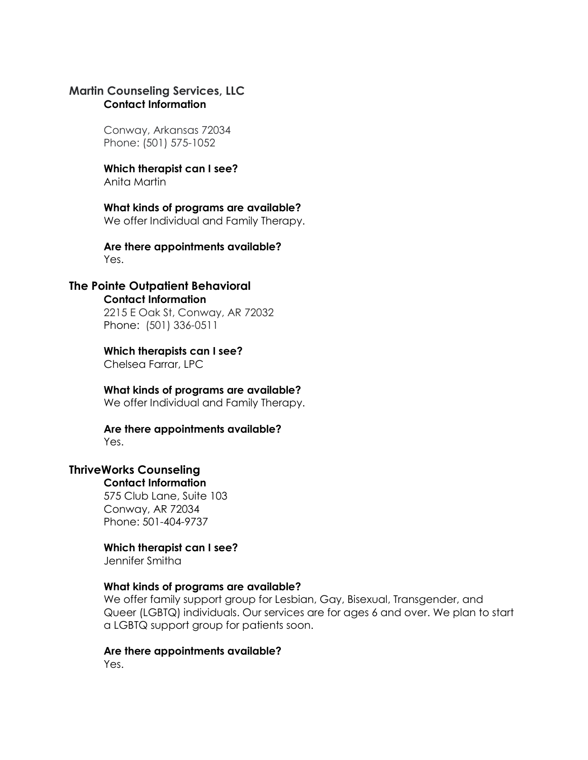## **Martin Counseling Services, LLC Contact Information**

Conway, Arkansas 72034 Phone: [\(501\) 575-1052](tel:+1-501-575-1052)

#### **Which therapist can I see?** Anita Martin

**What kinds of programs are available?** We offer Individual and Family Therapy.

**Are there appointments available?** Yes.

## **The Pointe Outpatient Behavioral**

#### **Contact Information**

2215 E Oak St, Conway, AR 72032 Phone: (501) 336-0511

## **Which therapists can I see?**

Chelsea Farrar, LPC

## **What kinds of programs are available?**

We offer Individual and Family Therapy.

#### **Are there appointments available?** Yes.

#### **ThriveWorks Counseling Contact Information**

575 Club Lane, Suite 103 Conway, AR 72034 Phone: 501-404-9737

## **Which therapist can I see?**

Jennifer Smitha

## **What kinds of programs are available?**

We offer family support group for Lesbian, Gay, Bisexual, Transgender, and Queer (LGBTQ) individuals. Our services are for ages 6 and over. We plan to start a LGBTQ support group for patients soon.

## **Are there appointments available?**

Yes.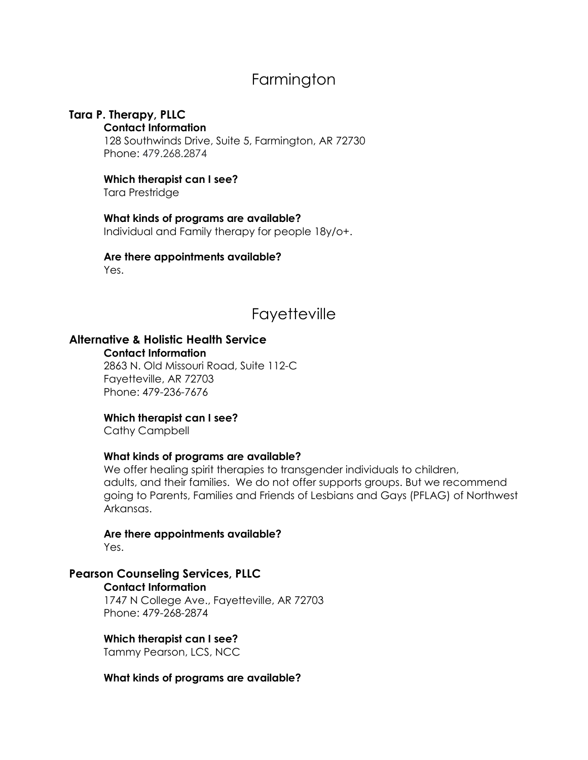# Farmington

## **Tara P. Therapy, PLLC**

#### **Contact Information**

128 Southwinds Drive, Suite 5, Farmington, AR 72730 Phone: 479.268.2874

## **Which therapist can I see?**

Tara Prestridge

**What kinds of programs are available?** Individual and Family therapy for people 18y/o+.

**Are there appointments available?**  Yes.

# **Fayetteville**

## **Alternative & Holistic Health Service**

**Contact Information**

2863 N. Old Missouri Road, Suite 112-C Fayetteville, AR 72703 Phone: 479-236-7676

## **Which therapist can I see?**

Cathy Campbell

#### **What kinds of programs are available?**

We offer healing spirit therapies to transgender individuals to children, adults, and their families. We do not offer supports groups. But we recommend going to Parents, Families and Friends of Lesbians and Gays (PFLAG) of Northwest Arkansas.

# **Are there appointments available?**

Yes.

## **Pearson Counseling Services, PLLC**

**Contact Information**

1747 N College Ave., Fayetteville, AR 72703 Phone: 479-268-2874

### **Which therapist can I see?**

Tammy Pearson, LCS, NCC

**What kinds of programs are available?**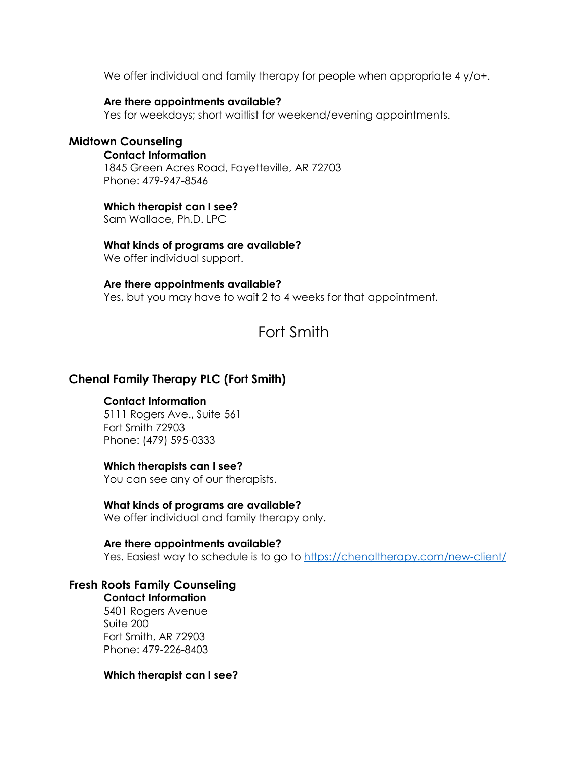We offer individual and family therapy for people when appropriate 4 y/o+.

#### **Are there appointments available?**

Yes for weekdays; short waitlist for weekend/evening appointments.

## **Midtown Counseling**

**Contact Information** 1845 Green Acres Road, Fayetteville, AR 72703 Phone: 479-947-8546

## **Which therapist can I see?**

Sam Wallace, Ph.D. LPC

## **What kinds of programs are available?**

We offer individual support.

## **Are there appointments available?**

Yes, but you may have to wait 2 to 4 weeks for that appointment.

# Fort Smith

## **Chenal Family Therapy PLC (Fort Smith)**

## **Contact Information**

5111 [Rogers](https://goo.gl/maps/jFQAjuDm6cMqafGH8) Ave., Suite 561 Fort Smith [72903](https://goo.gl/maps/jFQAjuDm6cMqafGH8) Phone: (479) [595-0333](tel:4795950333)

## **Which therapists can I see?**

You can see any of our therapists.

## **What kinds of programs are available?**

We offer individual and family therapy only.

## **Are there appointments available?**

Yes. Easiest way to schedule is to go to<https://chenaltherapy.com/new-client/>

## **Fresh Roots Family Counseling**

**Contact Information** 5401 Rogers Avenue Suite 200 Fort Smith, AR 72903 Phone: 479-226-8403

## **Which therapist can I see?**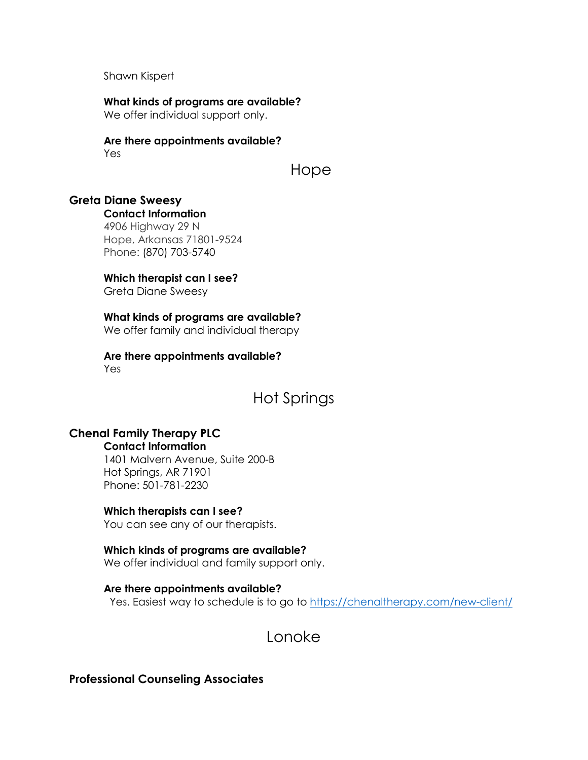Shawn Kispert

**What kinds of programs are available?** We offer individual support only.

**Are there appointments available?** Yes

Hope

# **Greta Diane Sweesy**

**Contact Information**

4906 Highway 29 N Hope, Arkansas 71801-9524 Phone: [\(870\) 703-5740](tel:%28870%29+703-5740)

#### **Which therapist can I see?**

Greta Diane Sweesy

### **What kinds of programs are available?**

We offer family and individual therapy

#### **Are there appointments available?** Yes

# Hot Springs

## **Chenal Family Therapy PLC**

#### **Contact Information**

1401 Malvern Avenue, Suite 200-B Hot Springs, AR 71901 Phone: 501-781-2230

#### **Which therapists can I see?**

You can see any of our therapists.

## **Which kinds of programs are available?**

We offer individual and family support only.

**Are there appointments available?** Yes. Easiest way to schedule is to go to<https://chenaltherapy.com/new-client/>

Lonoke

## **Professional Counseling Associates**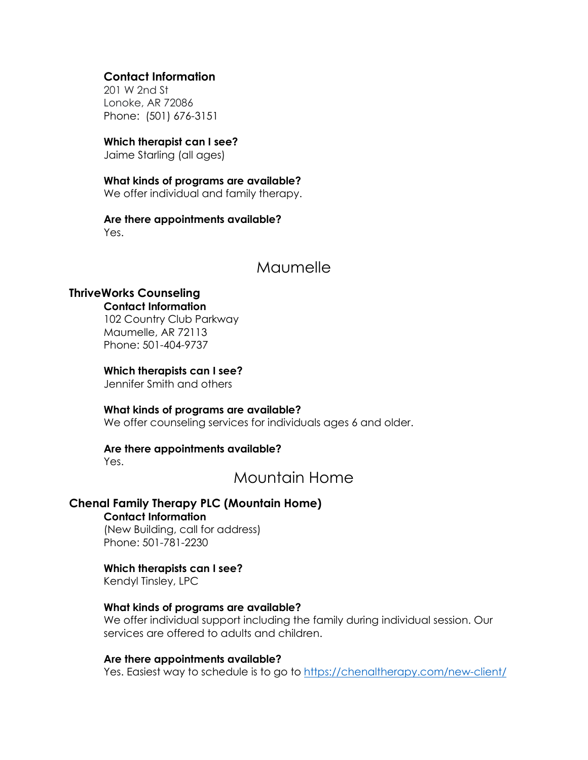## **Contact Information**

201 W 2nd St Lonoke, AR 72086 Phone: (501) 676-3151

## **Which therapist can I see?**

Jaime Starling (all ages)

## **What kinds of programs are available?**

We offer individual and family therapy.

#### **Are there appointments available?** Yes.

## Maumelle

## **ThriveWorks Counseling**

**Contact Information** 102 Country Club Parkway Maumelle, AR 72113 Phone: 501-404-9737

## **Which therapists can I see?**

Jennifer Smith and others

#### **What kinds of programs are available?**

We offer counseling services for individuals ages 6 and older.

#### **Are there appointments available?**

Yes.

## Mountain Home

## **Chenal Family Therapy PLC (Mountain Home)**

**Contact Information** (New Building, call for address)

Phone: 501-781-2230

## **Which therapists can I see?**

Kendyl Tinsley, LPC

## **What kinds of programs are available?**

We offer individual support including the family during individual session. Our services are offered to adults and children.

#### **Are there appointments available?**

Yes. Easiest way to schedule is to go to<https://chenaltherapy.com/new-client/>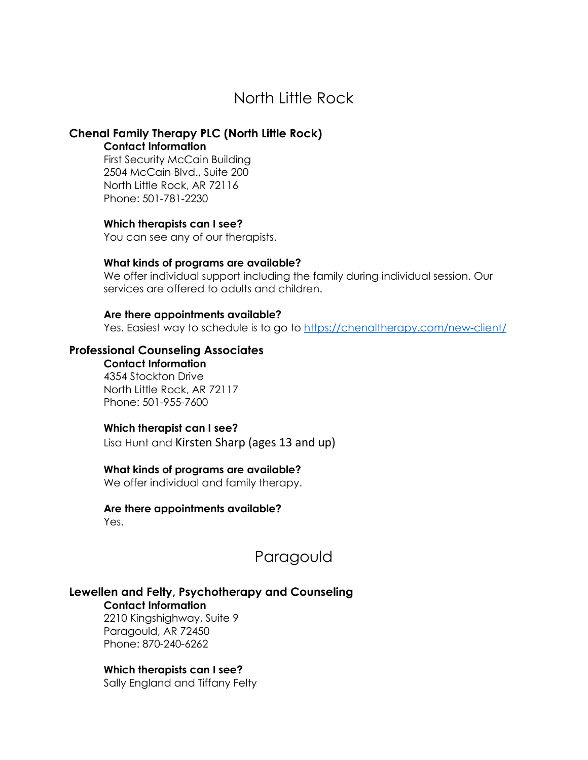# North Little Rock

## **Chenal Family Therapy PLC (North Little Rock)**

#### **Contact Information**

First Security McCain Building 2504 McCain Blvd., Suite 200 North Little Rock, AR 72116 Phone: 501-781-2230

#### **Which therapists can I see?**

You can see any of our therapists.

#### **What kinds of programs are available?**

We offer individual support including the family during individual session. Our services are offered to adults and children.

#### **Are there appointments available?**

Yes. Easiest way to schedule is to go to<https://chenaltherapy.com/new-client/>

## **Professional Counseling Associates**

**Contact Information** 4354 Stockton Drive North Little Rock, AR 72117 Phone: 501-955-7600

### **Which therapist can I see?**

Lisa Hunt and Kirsten Sharp (ages 13 and up)

## **What kinds of programs are available?**

We offer individual and family therapy.

#### **Are there appointments available?** Yes.

Paragould

## **Lewellen and Felty, Psychotherapy and Counseling**

**Contact Information**

2210 Kingshighway, Suite 9 Paragould, AR 72450 Phone: 870-240-6262

#### **Which therapists can I see?**

Sally England and Tiffany Felty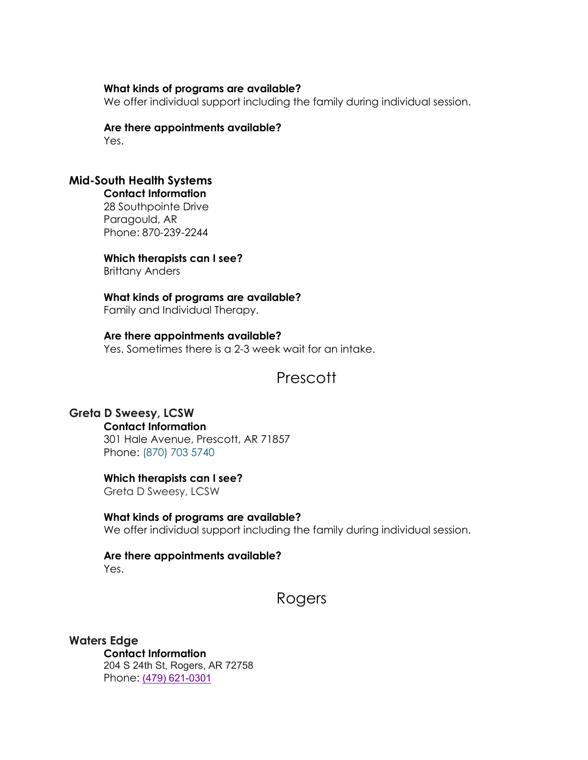#### **What kinds of programs are available?**

We offer individual support including the family during individual session.

#### **Are there appointments available?** Yes.

## **Mid-South Health Systems**

**Contact Information**  28 Southpointe Drive Paragould, AR Phone: 870-239-2244

**Which therapists can I see?**  Brittany Anders

**What kinds of programs are available?** Family and Individual Therapy.

**Are there appointments available?** Yes. Sometimes there is a 2-3 week wait for an intake.

# **Prescott**

## **Greta D Sweesy, LCSW**

**Contact Information**

301 Hale Avenue, Prescott, AR 71857 Phone: [\(870\) 703 5740](tel:8707035740)

## **Which therapists can I see?**

Greta D Sweesy, LCSW

**What kinds of programs are available?** We offer individual support including the family during individual session.

#### **Are there appointments available?**  Yes.

## Rogers

## **Waters Edge**

**Contact Information** 204 S 24th St, Rogers, AR 72758 Phone: (479) [621-0301](https://urldefense.com/v3/__https:/www.google.com/search?ei=4XnrX5cPza6wBaaslrAI&q=water*27s*edge*counseling*rogers*ar&gs_ssp=eJwNxUkKgCAUAFDaBt3BFtHSbyEOR-gS4fD5BGWgDR6_3ua1HScuRJA6PcdK0NgBqlbBCJCoVMQJwFuo8R-dV3MwWkOUS_-6C_NYGEZCFs47Fdy3RCyfhLkwlz-CHBun&oq=Water*27s*Edge*Counseling*&gs_lcp=CgZwc3ktYWIQARgBMg4ILhDHARCvARDJAxCTAjIICC4QxwEQrwEyCAguEMcBEK8BMggILhDHARCvATIGCAAQFhAeMgYIABAWEB4yBggAEBYQHjoFCAAQyQNQ8d_7AliV5PsCYJ77-wJoAHABeACAAXGIAcEBkgEDMS4xmAEAoAECoAEBqgEHZ3dzLXdpesABAQ&sclient=psy-ab*__;JSsrKyslKysrIw!!Azzpby4SUIjS!jcd1aX7_G4jaj2wUXNjkuQDu7cOMcfar7GibDcCCCTDok8gaoNlt1sMvMWrIXa-nqSQ$)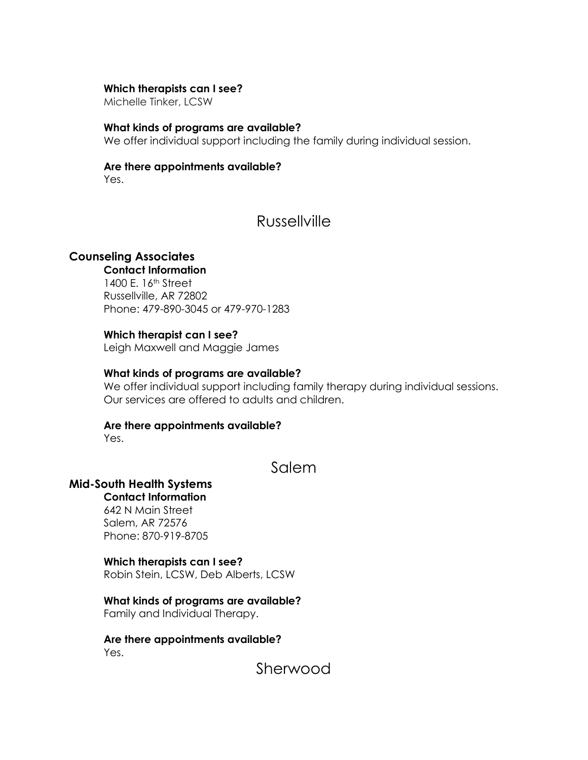#### **Which therapists can I see?**

Michelle Tinker, LCSW

#### **What kinds of programs are available?**

We offer individual support including the family during individual session.

#### **Are there appointments available?**

Yes.

## Russellville

## **Counseling Associates**

## **Contact Information**

1400 E. 16th Street Russellville, AR 72802 Phone: 479-890-3045 or 479-970-1283

#### **Which therapist can I see?**

Leigh Maxwell and Maggie James

#### **What kinds of programs are available?**

We offer individual support including family therapy during individual sessions. Our services are offered to adults and children.

### **Are there appointments available?**

Yes.

## Salem

## **Mid-South Health Systems**

## **Contact Information**

642 N Main Street Salem, AR 72576 Phone: 870-919-8705

#### **Which therapists can I see?**

Robin Stein, LCSW, Deb Alberts, LCSW

#### **What kinds of programs are available?**

Family and Individual Therapy.

**Are there appointments available?** Yes.

Sherwood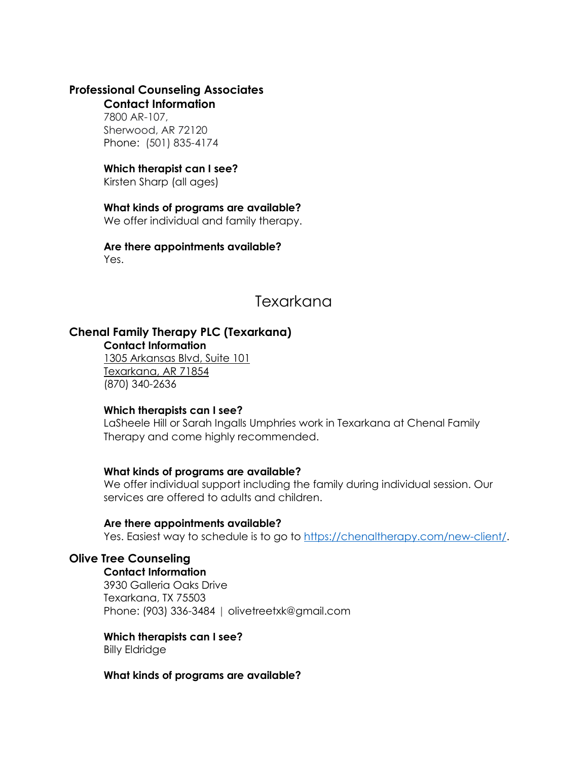## **Professional Counseling Associates**

#### **Contact Information**

7800 AR-107, Sherwood, AR 72120 Phone: (501) 835-4174

## **Which therapist can I see?**

Kirsten Sharp (all ages)

## **What kinds of programs are available?**

We offer individual and family therapy.

## **Are there appointments available?**

Yes.

# Texarkana

## **Chenal Family Therapy PLC (Texarkana)**

**Contact Information**

1305 [Arkansas](https://goo.gl/maps/L4wcxbyEGzNZb1d26) Blvd, Suite 101 [Texarkana,](https://goo.gl/maps/L4wcxbyEGzNZb1d26) AR 71854 (870) [340-2636](tel:8703402636)

## **Which therapists can I see?**

LaSheele Hill or Sarah Ingalls Umphries work in Texarkana at Chenal Family Therapy and come highly recommended.

## **What kinds of programs are available?**

We offer individual support including the family during individual session. Our services are offered to adults and children.

## **Are there appointments available?**

Yes. Easiest way to schedule is to go to [https://chenaltherapy.com/new-client/.](https://chenaltherapy.com/new-client/)

## **Olive Tree Counseling**

**Contact Information**  3930 Galleria Oaks Drive Texarkana, TX 75503 Phone: [\(903\) 336-3484](tel:(903)%20336-3484) | [olivetreetxk@gmail.com](mailto:olivetreetxk@gmail.com)

## **Which therapists can I see?**

Billy Eldridge

## **What kinds of programs are available?**